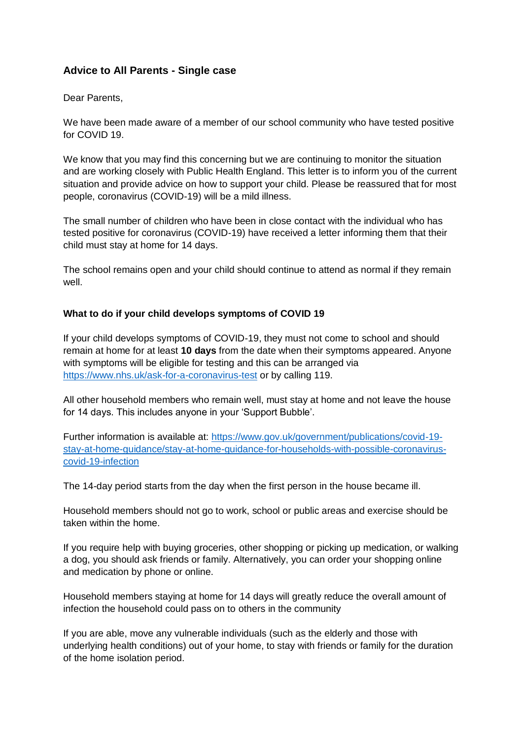# **Advice to All Parents - Single case**

#### Dear Parents,

We have been made aware of a member of our school community who have tested positive for COVID 19.

We know that you may find this concerning but we are continuing to monitor the situation and are working closely with Public Health England. This letter is to inform you of the current situation and provide advice on how to support your child. Please be reassured that for most people, coronavirus (COVID-19) will be a mild illness.

The small number of children who have been in close contact with the individual who has tested positive for coronavirus (COVID-19) have received a letter informing them that their child must stay at home for 14 days.

The school remains open and your child should continue to attend as normal if they remain well.

## **What to do if your child develops symptoms of COVID 19**

If your child develops symptoms of COVID-19, they must not come to school and should remain at home for at least **10 days** from the date when their symptoms appeared. Anyone with symptoms will be eligible for testing and this can be arranged via <https://www.nhs.uk/ask-for-a-coronavirus-test> or by calling 119.

All other household members who remain well, must stay at home and not leave the house for 14 days. This includes anyone in your 'Support Bubble'.

Further information is available at: [https://www.gov.uk/government/publications/covid-19](https://www.gov.uk/government/publications/covid-19-stay-at-home-guidance/stay-at-home-guidance-for-households-with-possible-coronavirus-covid-19-infection) [stay-at-home-guidance/stay-at-home-guidance-for-households-with-possible-coronavirus](https://www.gov.uk/government/publications/covid-19-stay-at-home-guidance/stay-at-home-guidance-for-households-with-possible-coronavirus-covid-19-infection)[covid-19-infection](https://www.gov.uk/government/publications/covid-19-stay-at-home-guidance/stay-at-home-guidance-for-households-with-possible-coronavirus-covid-19-infection)

The 14-day period starts from the day when the first person in the house became ill.

Household members should not go to work, school or public areas and exercise should be taken within the home.

If you require help with buying groceries, other shopping or picking up medication, or walking a dog, you should ask friends or family. Alternatively, you can order your shopping online and medication by phone or online.

Household members staying at home for 14 days will greatly reduce the overall amount of infection the household could pass on to others in the community

If you are able, move any vulnerable individuals (such as the elderly and those with underlying health conditions) out of your home, to stay with friends or family for the duration of the home isolation period.